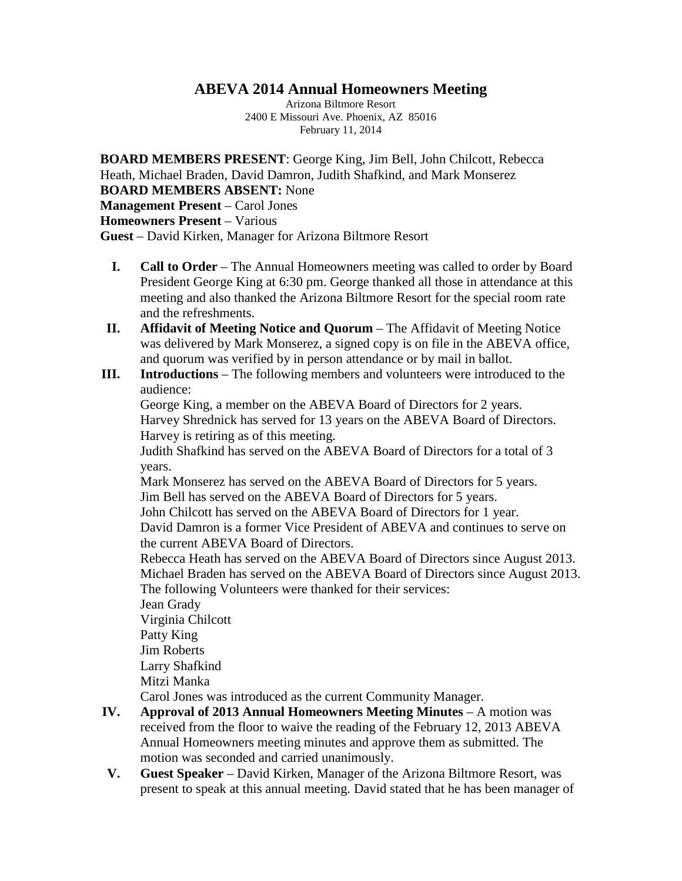## **ABEVA 2014 Annual Homeowners Meeting**

Arizona Biltmore Resort 2400 E Missouri Ave. Phoenix, AZ 85016 February 11, 2014

**BOARD MEMBERS PRESENT**: George King, Jim Bell, John Chilcott, Rebecca Heath, Michael Braden, David Damron, Judith Shafkind, and Mark Monserez **BOARD MEMBERS ABSENT:** None **Management Present** – Carol Jones **Homeowners Present** – Various **Guest** – David Kirken, Manager for Arizona Biltmore Resort

- **I. Call to Order** The Annual Homeowners meeting was called to order by Board President George King at 6:30 pm. George thanked all those in attendance at this meeting and also thanked the Arizona Biltmore Resort for the special room rate and the refreshments.
- **II. Affidavit of Meeting Notice and Quorum** The Affidavit of Meeting Notice was delivered by Mark Monserez, a signed copy is on file in the ABEVA office, and quorum was verified by in person attendance or by mail in ballot.
- **III. Introductions** The following members and volunteers were introduced to the audience:

George King, a member on the ABEVA Board of Directors for 2 years. Harvey Shrednick has served for 13 years on the ABEVA Board of Directors. Harvey is retiring as of this meeting.

Judith Shafkind has served on the ABEVA Board of Directors for a total of 3 years.

Mark Monserez has served on the ABEVA Board of Directors for 5 years. Jim Bell has served on the ABEVA Board of Directors for 5 years.

John Chilcott has served on the ABEVA Board of Directors for 1 year.

David Damron is a former Vice President of ABEVA and continues to serve on the current ABEVA Board of Directors.

Rebecca Heath has served on the ABEVA Board of Directors since August 2013. Michael Braden has served on the ABEVA Board of Directors since August 2013. The following Volunteers were thanked for their services:

Jean Grady Virginia Chilcott Patty King Jim Roberts Larry Shafkind Mitzi Manka

Carol Jones was introduced as the current Community Manager.

- **IV. Approval of 2013 Annual Homeowners Meeting Minutes** A motion was received from the floor to waive the reading of the February 12, 2013 ABEVA Annual Homeowners meeting minutes and approve them as submitted. The motion was seconded and carried unanimously.
- **V. Guest Speaker** David Kirken, Manager of the Arizona Biltmore Resort, was present to speak at this annual meeting. David stated that he has been manager of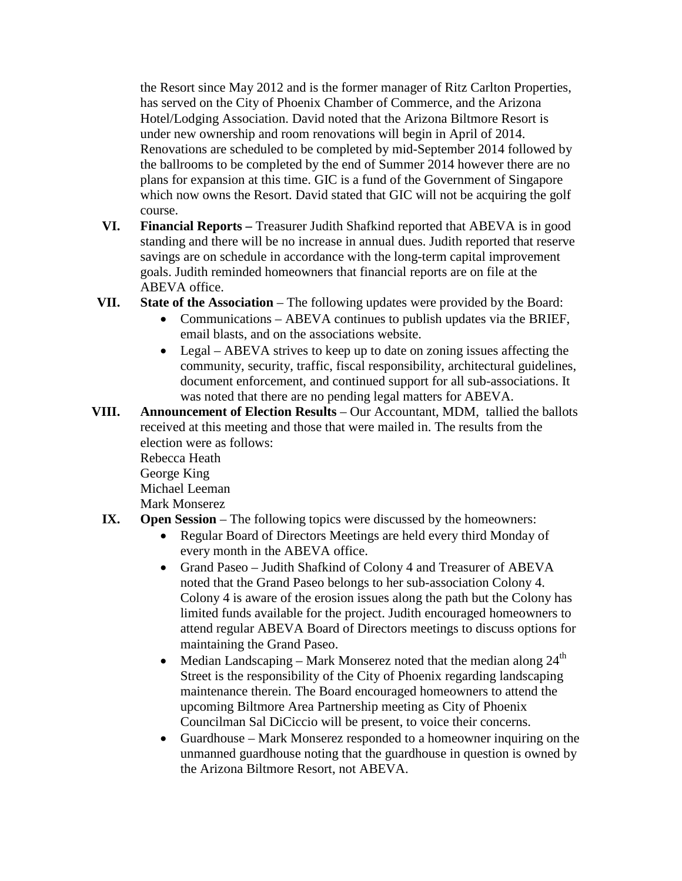the Resort since May 2012 and is the former manager of Ritz Carlton Properties, has served on the City of Phoenix Chamber of Commerce, and the Arizona Hotel/Lodging Association. David noted that the Arizona Biltmore Resort is under new ownership and room renovations will begin in April of 2014. Renovations are scheduled to be completed by mid-September 2014 followed by the ballrooms to be completed by the end of Summer 2014 however there are no plans for expansion at this time. GIC is a fund of the Government of Singapore which now owns the Resort. David stated that GIC will not be acquiring the golf course.

- **VI. Financial Reports –** Treasurer Judith Shafkind reported that ABEVA is in good standing and there will be no increase in annual dues. Judith reported that reserve savings are on schedule in accordance with the long-term capital improvement goals. Judith reminded homeowners that financial reports are on file at the ABEVA office.
- **VII. State of the Association** The following updates were provided by the Board:
	- Communications ABEVA continues to publish updates via the BRIEF, email blasts, and on the associations website.
	- Legal ABEVA strives to keep up to date on zoning issues affecting the community, security, traffic, fiscal responsibility, architectural guidelines, document enforcement, and continued support for all sub-associations. It was noted that there are no pending legal matters for ABEVA.
- **VIII. Announcement of Election Results** Our Accountant, MDM, tallied the ballots received at this meeting and those that were mailed in. The results from the election were as follows: Rebecca Heath

George King Michael Leeman Mark Monserez

## **IX. Open Session** – The following topics were discussed by the homeowners:

- Regular Board of Directors Meetings are held every third Monday of every month in the ABEVA office.
- Grand Paseo Judith Shafkind of Colony 4 and Treasurer of ABEVA noted that the Grand Paseo belongs to her sub-association Colony 4. Colony 4 is aware of the erosion issues along the path but the Colony has limited funds available for the project. Judith encouraged homeowners to attend regular ABEVA Board of Directors meetings to discuss options for maintaining the Grand Paseo.
- Median Landscaping Mark Monserez noted that the median along  $24<sup>th</sup>$ Street is the responsibility of the City of Phoenix regarding landscaping maintenance therein. The Board encouraged homeowners to attend the upcoming Biltmore Area Partnership meeting as City of Phoenix Councilman Sal DiCiccio will be present, to voice their concerns.
- Guardhouse Mark Monserez responded to a homeowner inquiring on the unmanned guardhouse noting that the guardhouse in question is owned by the Arizona Biltmore Resort, not ABEVA.